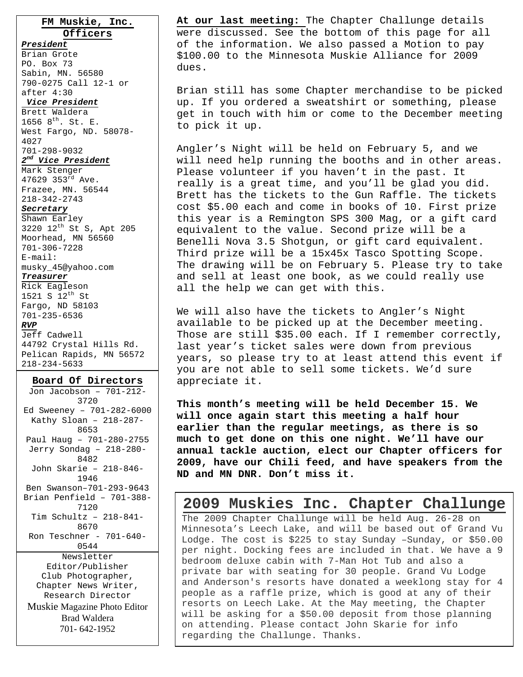**FM Muskie, Inc. Officers**

#### *President*

Brian Grote PO. Box 73 Sabin, MN. 56580 790-0275 Call 12-1 or after 4:30

## *Vice President*

Brett Waldera 1656  $8^{th}$ . St. E. West Fargo, ND. 58078- 4027 701-298-9032

## *2nd Vice President*

Mark Stenger 47629 353rd Ave. Frazee, MN. 56544 218-342-2743

## *Secretary*

Shawn Earley 3220 12th St S, Apt 205 Moorhead, MN 56560 701-306-7228 E-mail: musky\_45@yahoo.com

## *Treasurer*

Rick Eagleson 1521 S 12th St Fargo, ND 58103 701-235-6536 *RVP* Jeff Cadwell

44792 Crystal Hills Rd. Pelican Rapids, MN 56572 218-234-5633

## **Board Of Directors**

Jon Jacobson – 701-212- 3720 Ed Sweeney – 701-282-6000 Kathy Sloan – 218-287- 8653 Paul Haug – 701-280-2755 Jerry Sondag – 218-280- 8482 John Skarie – 218-846- 1946 Ben Swanson–701-293-9643 Brian Penfield – 701-388- 7120 Tim Schultz – 218-841- 8670 Ron Teschner - 701-640- 0544 Newsletter Editor/Publisher Club Photographer, Chapter News Writer, Research Director Muskie Magazine Photo Editor Brad Waldera 701- 642-1952

**At our last meeting:** The Chapter Challunge details were discussed. See the bottom of this page for all of the information. We also passed a Motion to pay \$100.00 to the Minnesota Muskie Alliance for 2009 dues.

Brian still has some Chapter merchandise to be picked up. If you ordered a sweatshirt or something, please get in touch with him or come to the December meeting to pick it up.

Angler's Night will be held on February 5, and we will need help running the booths and in other areas. Please volunteer if you haven't in the past. It really is a great time, and you'll be glad you did. Brett has the tickets to the Gun Raffle. The tickets cost \$5.00 each and come in books of 10. First prize this year is a Remington SPS 300 Mag, or a gift card equivalent to the value. Second prize will be a Benelli Nova 3.5 Shotgun, or gift card equivalent. Third prize will be a 15x45x Tasco Spotting Scope. The drawing will be on February 5. Please try to take and sell at least one book, as we could really use all the help we can get with this.

We will also have the tickets to Angler's Night available to be picked up at the December meeting. Those are still \$35.00 each. If I remember correctly, last year's ticket sales were down from previous years, so please try to at least attend this event if you are not able to sell some tickets. We'd sure appreciate it.

**This month's meeting will be held December 15. We will once again start this meeting a half hour earlier than the regular meetings, as there is so much to get done on this one night. We'll have our annual tackle auction, elect our Chapter officers for 2009, have our Chili feed, and have speakers from the ND and MN DNR. Don't miss it.** 

## **2009 Muskies Inc. Chapter Challunge**

The 2009 Chapter Challunge will be held Aug. 26-28 on Minnesota's Leech Lake, and will be based out of Grand Vu Lodge. The cost is \$225 to stay Sunday –Sunday, or \$50.00 per night. Docking fees are included in that. We have a 9 bedroom deluxe cabin with 7-Man Hot Tub and also a private bar with seating for 30 people. Grand Vu Lodge and Anderson's resorts have donated a weeklong stay for 4 people as a raffle prize, which is good at any of their resorts on Leech Lake. At the May meeting, the Chapter will be asking for a \$50.00 deposit from those planning on attending. Please contact John Skarie for info regarding the Challunge. Thanks.